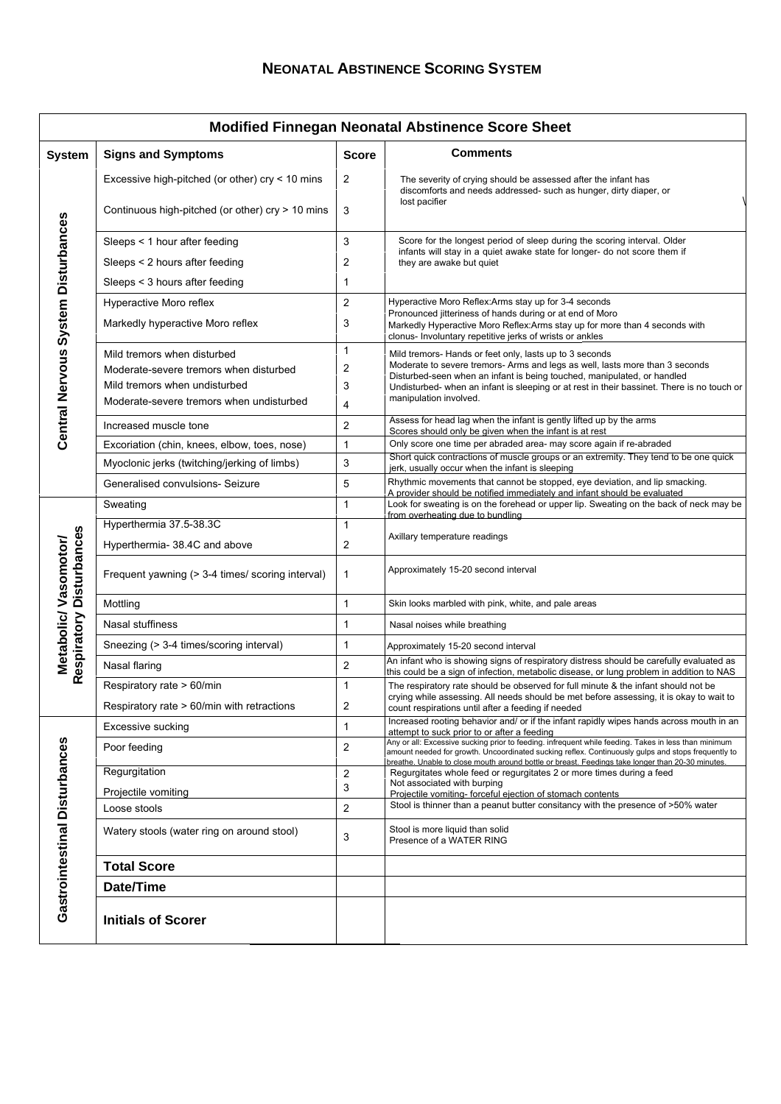## **NEONATAL ABSTINENCE SCORING SYSTEM**

٦Ī,

| <b>Modified Finnegan Neonatal Abstinence Score Sheet</b>   |                                                                                                                                                    |                         |                                                                                                                                                                                                                                                                                                                                            |
|------------------------------------------------------------|----------------------------------------------------------------------------------------------------------------------------------------------------|-------------------------|--------------------------------------------------------------------------------------------------------------------------------------------------------------------------------------------------------------------------------------------------------------------------------------------------------------------------------------------|
| <b>System</b>                                              | <b>Signs and Symptoms</b>                                                                                                                          | <b>Score</b>            | <b>Comments</b>                                                                                                                                                                                                                                                                                                                            |
| Central Nervous System Disturbances                        | Excessive high-pitched (or other) cry < 10 mins                                                                                                    | $\overline{\mathbf{c}}$ | The severity of crying should be assessed after the infant has<br>discomforts and needs addressed- such as hunger, dirty diaper, or<br>lost pacifier                                                                                                                                                                                       |
|                                                            | Continuous high-pitched (or other) cry > 10 mins                                                                                                   | 3                       |                                                                                                                                                                                                                                                                                                                                            |
|                                                            | Sleeps < 1 hour after feeding<br>Sleeps < 2 hours after feeding                                                                                    | 3<br>2                  | Score for the longest period of sleep during the scoring interval. Older<br>infants will stay in a quiet awake state for longer- do not score them if<br>they are awake but quiet                                                                                                                                                          |
|                                                            | Sleeps < 3 hours after feeding                                                                                                                     | 1                       |                                                                                                                                                                                                                                                                                                                                            |
|                                                            | Hyperactive Moro reflex<br>Markedly hyperactive Moro reflex                                                                                        | 2<br>3                  | Hyperactive Moro Reflex:Arms stay up for 3-4 seconds<br>Pronounced jitteriness of hands during or at end of Moro<br>Markedly Hyperactive Moro Reflex:Arms stay up for more than 4 seconds with<br>clonus- Involuntary repetitive jerks of wrists or ankles                                                                                 |
|                                                            | Mild tremors when disturbed<br>Moderate-severe tremors when disturbed<br>Mild tremors when undisturbed<br>Moderate-severe tremors when undisturbed | 1<br>2<br>3<br>4        | Mild tremors- Hands or feet only, lasts up to 3 seconds<br>Moderate to severe tremors- Arms and legs as well, lasts more than 3 seconds<br>Disturbed-seen when an infant is being touched, manipulated, or handled<br>Undisturbed- when an infant is sleeping or at rest in their bassinet. There is no touch or<br>manipulation involved. |
|                                                            | Increased muscle tone                                                                                                                              | $\overline{\mathbf{c}}$ | Assess for head lag when the infant is gently lifted up by the arms<br>Scores should only be given when the infant is at rest                                                                                                                                                                                                              |
|                                                            | Excoriation (chin, knees, elbow, toes, nose)                                                                                                       | 1                       | Only score one time per abraded area- may score again if re-abraded                                                                                                                                                                                                                                                                        |
|                                                            | Myoclonic jerks (twitching/jerking of limbs)                                                                                                       | 3                       | Short quick contractions of muscle groups or an extremity. They tend to be one quick<br>jerk, usually occur when the infant is sleeping                                                                                                                                                                                                    |
|                                                            | Generalised convulsions- Seizure                                                                                                                   | 5                       | Rhythmic movements that cannot be stopped, eye deviation, and lip smacking.<br>A provider should be notified immediately and infant should be evaluated                                                                                                                                                                                    |
| <b>Disturbances</b><br>Metabolic/Vasomotor/<br>Respiratory | Sweating                                                                                                                                           | $\mathbf{1}$            | Look for sweating is on the forehead or upper lip. Sweating on the back of neck may be<br>from overheating due to bundling                                                                                                                                                                                                                 |
|                                                            | Hyperthermia 37.5-38.3C                                                                                                                            | 1                       |                                                                                                                                                                                                                                                                                                                                            |
|                                                            | Hyperthermia- 38.4C and above                                                                                                                      | $\overline{\mathbf{c}}$ | Axillary temperature readings                                                                                                                                                                                                                                                                                                              |
|                                                            | Frequent yawning (> 3-4 times/ scoring interval)                                                                                                   | 1                       | Approximately 15-20 second interval                                                                                                                                                                                                                                                                                                        |
|                                                            | Mottling                                                                                                                                           | $\mathbf{1}$            | Skin looks marbled with pink, white, and pale areas                                                                                                                                                                                                                                                                                        |
|                                                            | Nasal stuffiness                                                                                                                                   | 1                       | Nasal noises while breathing                                                                                                                                                                                                                                                                                                               |
|                                                            | Sneezing (> 3-4 times/scoring interval)                                                                                                            | 1                       | Approximately 15-20 second interval                                                                                                                                                                                                                                                                                                        |
|                                                            | Nasal flaring                                                                                                                                      | $\overline{c}$          | An infant who is showing signs of respiratory distress should be carefully evaluated as<br>this could be a sign of infection, metabolic disease, or lung problem in addition to NAS                                                                                                                                                        |
|                                                            | Respiratory rate > 60/min                                                                                                                          | $\mathbf{1}$            | The respiratory rate should be observed for full minute & the infant should not be                                                                                                                                                                                                                                                         |
|                                                            | Respiratory rate > 60/min with retractions                                                                                                         | $\overline{\mathbf{c}}$ | crying while assessing. All needs should be met before assessing, it is okay to wait to<br>count respirations until after a feeding if needed                                                                                                                                                                                              |
| Gastrointestinal Disturbances                              | Excessive sucking                                                                                                                                  | 1                       | Increased rooting behavior and/ or if the infant rapidly wipes hands across mouth in an<br>attempt to suck prior to or after a feeding                                                                                                                                                                                                     |
|                                                            | Poor feeding                                                                                                                                       | 2                       | Any or all: Excessive sucking prior to feeding. infrequent while feeding. Takes in less than minimum<br>amount needed for growth. Uncoordinated sucking reflex. Continuously gulps and stops frequently to<br>breathe. Unable to close mouth around bottle or breast. Feedings take longer than 20-30 minutes.                             |
|                                                            | Regurgitation                                                                                                                                      | $\overline{\mathbf{c}}$ | Regurgitates whole feed or regurgitates 2 or more times during a feed<br>Not associated with burping                                                                                                                                                                                                                                       |
|                                                            | Projectile vomiting                                                                                                                                | 3                       | Projectile vomiting- forceful ejection of stomach contents<br>Stool is thinner than a peanut butter consitancy with the presence of >50% water                                                                                                                                                                                             |
|                                                            | Loose stools                                                                                                                                       | $\overline{c}$          |                                                                                                                                                                                                                                                                                                                                            |
|                                                            | Watery stools (water ring on around stool)                                                                                                         | 3                       | Stool is more liquid than solid<br>Presence of a WATER RING                                                                                                                                                                                                                                                                                |
|                                                            | <b>Total Score</b>                                                                                                                                 |                         |                                                                                                                                                                                                                                                                                                                                            |
|                                                            | Date/Time                                                                                                                                          |                         |                                                                                                                                                                                                                                                                                                                                            |
|                                                            | <b>Initials of Scorer</b>                                                                                                                          |                         |                                                                                                                                                                                                                                                                                                                                            |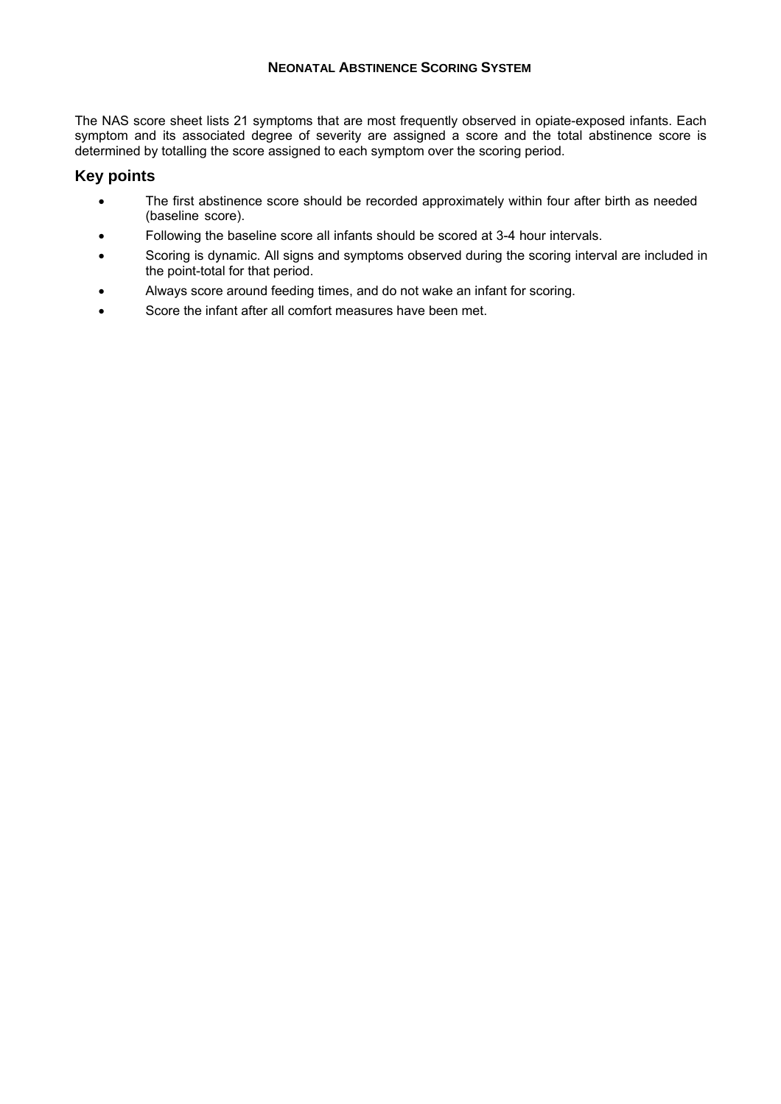## **NEONATAL ABSTINENCE SCORING SYSTEM**

The NAS score sheet lists 21 symptoms that are most frequently observed in opiate-exposed infants. Each symptom and its associated degree of severity are assigned a score and the total abstinence score is determined by totalling the score assigned to each symptom over the scoring period.

## **Key points**

- The first abstinence score should be recorded approximately within four after birth as needed (baseline score).
- Following the baseline score all infants should be scored at 3-4 hour intervals.
- Scoring is dynamic. All signs and symptoms observed during the scoring interval are included in the point-total for that period.
- Always score around feeding times, and do not wake an infant for scoring.
- Score the infant after all comfort measures have been met.